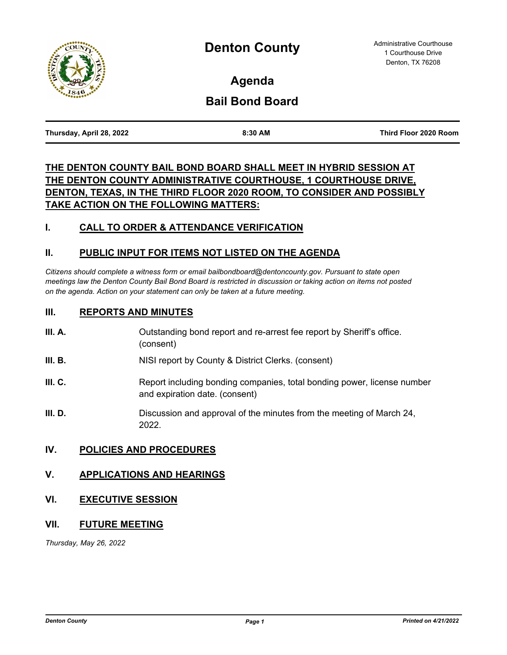

**Agenda**

# **Bail Bond Board**

| Thursday, April 28, 2022 | 8:30 AM | Third Floor 2020 Room |
|--------------------------|---------|-----------------------|
|                          |         |                       |

# **THE DENTON COUNTY BAIL BOND BOARD SHALL MEET IN HYBRID SESSION AT THE DENTON COUNTY ADMINISTRATIVE COURTHOUSE, 1 COURTHOUSE DRIVE, DENTON, TEXAS, IN THE THIRD FLOOR 2020 ROOM, TO CONSIDER AND POSSIBLY TAKE ACTION ON THE FOLLOWING MATTERS:**

## **I. CALL TO ORDER & ATTENDANCE VERIFICATION**

### **II. PUBLIC INPUT FOR ITEMS NOT LISTED ON THE AGENDA**

*Citizens should complete a witness form or email bailbondboard@dentoncounty.gov. Pursuant to state open meetings law the Denton County Bail Bond Board is restricted in discussion or taking action on items not posted on the agenda. Action on your statement can only be taken at a future meeting.*

#### **III. REPORTS AND MINUTES**

| III. A. | Outstanding bond report and re-arrest fee report by Sheriff's office. |
|---------|-----------------------------------------------------------------------|
|         | (consent)                                                             |

- **III. B.** NISI report by County & District Clerks. (consent)
- **III. C.** Report including bonding companies, total bonding power, license number and expiration date. (consent)
- **III. D.** Discussion and approval of the minutes from the meeting of March 24, 2022.

#### **IV. POLICIES AND PROCEDURES**

#### **V. APPLICATIONS AND HEARINGS**

#### **VI. EXECUTIVE SESSION**

#### **VII. FUTURE MEETING**

*Thursday, May 26, 2022*